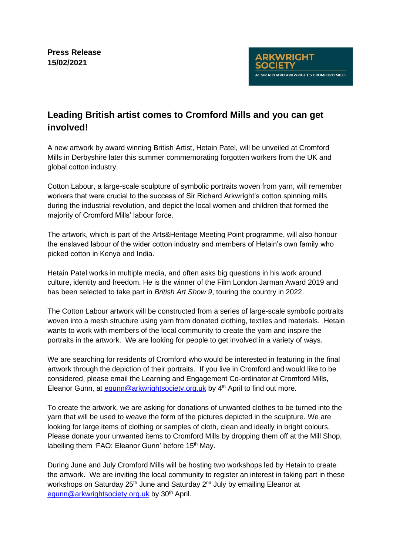# **Leading British artist comes to Cromford Mills and you can get involved!**

A new artwork by award winning British Artist, Hetain Patel, will be unveiled at Cromford Mills in Derbyshire later this summer commemorating forgotten workers from the UK and global cotton industry.

Cotton Labour, a large-scale sculpture of symbolic portraits woven from yarn, will remember workers that were crucial to the success of Sir Richard Arkwright's cotton spinning mills during the industrial revolution, and depict the local women and children that formed the majority of Cromford Mills' labour force.

The artwork, which is part of the Arts&Heritage Meeting Point programme, will also honour the enslaved labour of the wider cotton industry and members of Hetain's own family who picked cotton in Kenya and India.

Hetain Patel works in multiple media, and often asks big questions in his work around culture, identity and freedom. He is the winner of the Film London Jarman Award 2019 and has been selected to take part in *British Art Show 9*, touring the country in 2022.

The Cotton Labour artwork will be constructed from a series of large-scale symbolic portraits woven into a mesh structure using yarn from donated clothing, textiles and materials. Hetain wants to work with members of the local community to create the yarn and inspire the portraits in the artwork. We are looking for people to get involved in a variety of ways.

We are searching for residents of Cromford who would be interested in featuring in the final artwork through the depiction of their portraits. If you live in Cromford and would like to be considered, please email the Learning and Engagement Co-ordinator at Cromford Mills, Eleanor Gunn, at equnn@arkwrightsociety.org.uk by 4<sup>th</sup> April to find out more.

To create the artwork, we are asking for donations of unwanted clothes to be turned into the yarn that will be used to weave the form of the pictures depicted in the sculpture. We are looking for large items of clothing or samples of cloth, clean and ideally in bright colours. Please donate your unwanted items to Cromford Mills by dropping them off at the Mill Shop, labelling them 'FAO: Eleanor Gunn' before 15<sup>th</sup> May.

During June and July Cromford Mills will be hosting two workshops led by Hetain to create the artwork. We are inviting the local community to register an interest in taking part in these workshops on Saturday 25<sup>th</sup> June and Saturday 2<sup>nd</sup> July by emailing Eleanor at [egunn@arkwrightsociety.org.uk](mailto:egunn@arkwrightsociety.org.uk)by 30<sup>th</sup> April.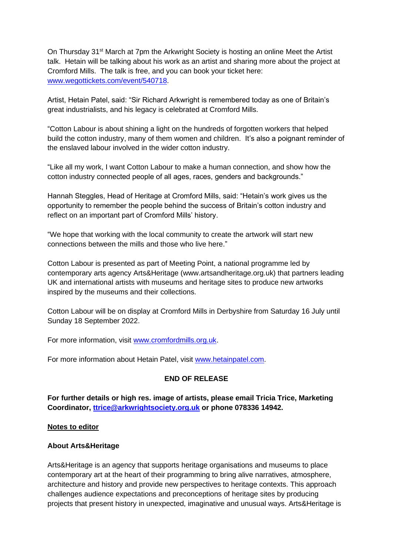On Thursday 31<sup>st</sup> March at 7pm the Arkwright Society is hosting an online Meet the Artist talk. Hetain will be talking about his work as an artist and sharing more about the project at Cromford Mills. The talk is free, and you can book your ticket here: [www.wegottickets.com/event/540718.](https://www.wegottickets.com/event/540718)

Artist, Hetain Patel, said: "Sir Richard Arkwright is remembered today as one of Britain's great industrialists, and his legacy is celebrated at Cromford Mills.

"Cotton Labour is about shining a light on the hundreds of forgotten workers that helped build the cotton industry, many of them women and children. It's also a poignant reminder of the enslaved labour involved in the wider cotton industry.

"Like all my work, I want Cotton Labour to make a human connection, and show how the cotton industry connected people of all ages, races, genders and backgrounds."

Hannah Steggles, Head of Heritage at Cromford Mills, said: "Hetain's work gives us the opportunity to remember the people behind the success of Britain's cotton industry and reflect on an important part of Cromford Mills' history.

"We hope that working with the local community to create the artwork will start new connections between the mills and those who live here."

Cotton Labour is presented as part of Meeting Point, a national programme led by contemporary arts agency Arts&Heritage (www.artsandheritage.org.uk) that partners leading UK and international artists with museums and heritage sites to produce new artworks inspired by the museums and their collections.

Cotton Labour will be on display at Cromford Mills in Derbyshire from Saturday 16 July until Sunday 18 September 2022.

For more information, visit [www.cromfordmills.org.uk.](http://www.cromfordmills.org.uk/)

For more information about Hetain Patel, visit [www.hetainpatel.com.](http://www.hetainpatel.com/)

### **END OF RELEASE**

**For further details or high res. image of artists, please email Tricia Trice, Marketing Coordinator, [ttrice@arkwrightsociety.org.uk](mailto:ttrice@arkwrightsociety.org.uk) or phone 078336 14942.**

#### **Notes to editor**

### **About Arts&Heritage**

Arts&Heritage is an agency that supports heritage organisations and museums to place contemporary art at the heart of their programming to bring alive narratives, atmosphere, architecture and history and provide new perspectives to heritage contexts. This approach challenges audience expectations and preconceptions of heritage sites by producing projects that present history in unexpected, imaginative and unusual ways. Arts&Heritage is